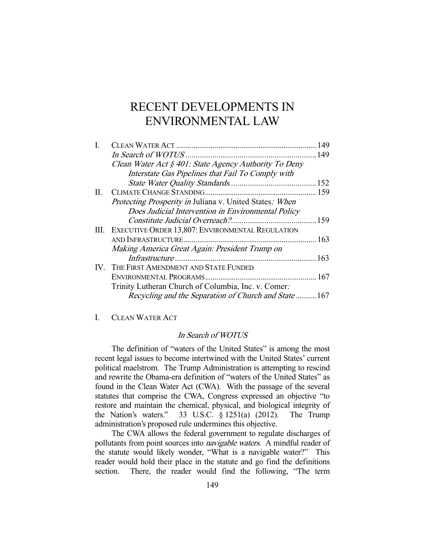# RECENT DEVELOPMENTS IN ENVIRONMENTAL LAW

|    |                                                         | 149 |
|----|---------------------------------------------------------|-----|
|    |                                                         | 149 |
|    | Clean Water Act § 401: State Agency Authority To Deny   |     |
|    | Interstate Gas Pipelines that Fail To Comply with       |     |
|    |                                                         |     |
| Н. |                                                         |     |
|    | Protecting Prosperity in Juliana v. United States: When |     |
|    | Does Judicial Intervention in Environmental Policy      |     |
|    |                                                         |     |
|    | III. EXECUTIVE ORDER 13,807: ENVIRONMENTAL REGULATION   |     |
|    |                                                         |     |
|    | Making America Great Again: President Trump on          |     |
|    |                                                         |     |
|    | IV. THE FIRST AMENDMENT AND STATE FUNDED                |     |
|    |                                                         |     |
|    | Trinity Lutheran Church of Columbia, Inc. v. Comer.     |     |
|    | Recycling and the Separation of Church and State167     |     |
|    |                                                         |     |

I. CLEAN WATER ACT

## In Search of WOTUS

 The definition of "waters of the United States" is among the most recent legal issues to become intertwined with the United States' current political maelstrom. The Trump Administration is attempting to rescind and rewrite the Obama-era definition of "waters of the United States" as found in the Clean Water Act (CWA). With the passage of the several statutes that comprise the CWA, Congress expressed an objective "to restore and maintain the chemical, physical, and biological integrity of the Nation's waters." 33 U.S.C. § 1251(a) (2012). The Trump 33 U.S.C. § 1251(a) (2012). The Trump administration's proposed rule undermines this objective.

 The CWA allows the federal government to regulate discharges of pollutants from point sources into *navigable waters*. A mindful reader of the statute would likely wonder, "What is a navigable water?" This reader would hold their place in the statute and go find the definitions section. There, the reader would find the following, "The term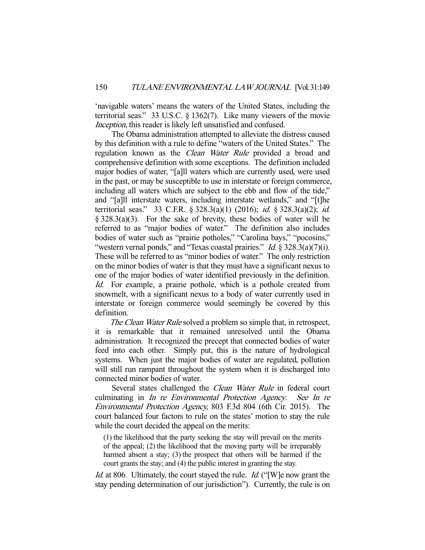'navigable waters' means the waters of the United States, including the territorial seas." 33 U.S.C. § 1362(7). Like many viewers of the movie Inception, this reader is likely left unsatisfied and confused.

 The Obama administration attempted to alleviate the distress caused by this definition with a rule to define "waters of the United States." The regulation known as the *Clean Water Rule* provided a broad and comprehensive definition with some exceptions. The definition included major bodies of water, "[a]ll waters which are currently used, were used in the past, or may be susceptible to use in interstate or foreign commerce, including all waters which are subject to the ebb and flow of the tide," and "[a]ll interstate waters, including interstate wetlands," and "[t]he territorial seas." 33 C.F.R. § 328.3(a)(1) (2016); id. § 328.3(a)(2); id. § 328.3(a)(3). For the sake of brevity, these bodies of water will be referred to as "major bodies of water." The definition also includes bodies of water such as "prairie potholes," "Carolina bays," "pocosins," "western vernal ponds," and "Texas coastal prairies." Id.  $\frac{2}{3}$  328.3(a)(7)(i). These will be referred to as "minor bodies of water." The only restriction on the minor bodies of water is that they must have a significant nexus to one of the major bodies of water identified previously in the definition. Id. For example, a prairie pothole, which is a pothole created from snowmelt, with a significant nexus to a body of water currently used in interstate or foreign commerce would seemingly be covered by this definition.

The Clean Water Rule solved a problem so simple that, in retrospect, it is remarkable that it remained unresolved until the Obama administration. It recognized the precept that connected bodies of water feed into each other. Simply put, this is the nature of hydrological systems. When just the major bodies of water are regulated, pollution will still run rampant throughout the system when it is discharged into connected minor bodies of water.

Several states challenged the *Clean Water Rule* in federal court culminating in In re Environmental Protection Agency. See In re Environmental Protection Agency, 803 F.3d 804 (6th Cir. 2015). The court balanced four factors to rule on the states' motion to stay the rule while the court decided the appeal on the merits:

(1) the likelihood that the party seeking the stay will prevail on the merits of the appeal; (2) the likelihood that the moving party will be irreparably harmed absent a stay; (3) the prospect that others will be harmed if the court grants the stay; and (4) the public interest in granting the stay.

Id. at 806. Ultimately, the court stayed the rule. Id. ("[W]e now grant the stay pending determination of our jurisdiction"). Currently, the rule is on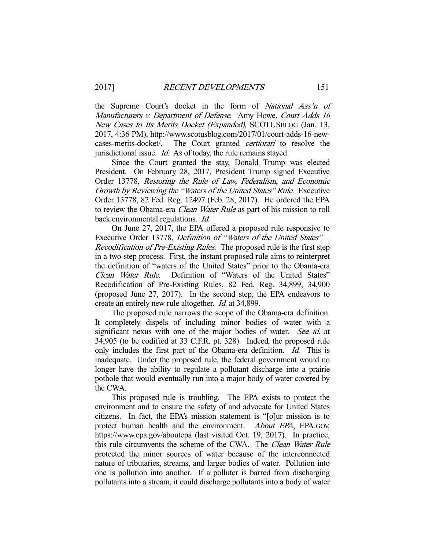the Supreme Court's docket in the form of National Ass'n of Manufacturers v. Department of Defense. Amy Howe, Court Adds 16 New Cases to Its Merits Docket (Expanded), SCOTUSBLOG (Jan. 13, 2017, 4:36 PM), http://www.scotusblog.com/2017/01/court-adds-16-newcases-merits-docket/. The Court granted certiorari to resolve the jurisdictional issue. *Id.* As of today, the rule remains stayed.

 Since the Court granted the stay, Donald Trump was elected President. On February 28, 2017, President Trump signed Executive Order 13778, Restoring the Rule of Law, Federalism, and Economic Growth by Reviewing the "Waters of the United States" Rule. Executive Order 13778, 82 Fed. Reg. 12497 (Feb. 28, 2017). He ordered the EPA to review the Obama-era Clean Water Rule as part of his mission to roll back environmental regulations. *Id.* 

 On June 27, 2017, the EPA offered a proposed rule responsive to Executive Order 13778, Definition of "Waters of the United States"— Recodification of Pre-Existing Rules. The proposed rule is the first step in a two-step process. First, the instant proposed rule aims to reinterpret the definition of "waters of the United States" prior to the Obama-era Clean Water Rule. Definition of "Waters of the United States" Recodification of Pre-Existing Rules, 82 Fed. Reg. 34,899, 34,900 (proposed June 27, 2017). In the second step, the EPA endeavors to create an entirely new rule altogether. Id. at 34,899.

 The proposed rule narrows the scope of the Obama-era definition. It completely dispels of including minor bodies of water with a significant nexus with one of the major bodies of water. See id. at 34,905 (to be codified at 33 C.F.R. pt. 328). Indeed, the proposed rule only includes the first part of the Obama-era definition. Id. This is inadequate. Under the proposed rule, the federal government would no longer have the ability to regulate a pollutant discharge into a prairie pothole that would eventually run into a major body of water covered by the CWA.

 This proposed rule is troubling. The EPA exists to protect the environment and to ensure the safety of and advocate for United States citizens. In fact, the EPA's mission statement is "[o]ur mission is to protect human health and the environment. *About EPA*, EPA.GOV, https://www.epa.gov/aboutepa (last visited Oct. 19, 2017). In practice, this rule circumvents the scheme of the CWA. The Clean Water Rule protected the minor sources of water because of the interconnected nature of tributaries, streams, and larger bodies of water. Pollution into one is pollution into another. If a polluter is barred from discharging pollutants into a stream, it could discharge pollutants into a body of water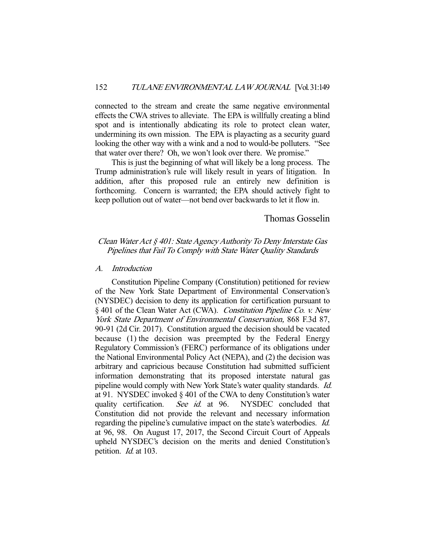connected to the stream and create the same negative environmental effects the CWA strives to alleviate. The EPA is willfully creating a blind spot and is intentionally abdicating its role to protect clean water, undermining its own mission. The EPA is playacting as a security guard looking the other way with a wink and a nod to would-be polluters. "See that water over there? Oh, we won't look over there. We promise."

 This is just the beginning of what will likely be a long process. The Trump administration's rule will likely result in years of litigation. In addition, after this proposed rule an entirely new definition is forthcoming. Concern is warranted; the EPA should actively fight to keep pollution out of water—not bend over backwards to let it flow in.

## Thomas Gosselin

# Clean Water Act § 401: State Agency Authority To Deny Interstate Gas Pipelines that Fail To Comply with State Water Quality Standards

### A. Introduction

 Constitution Pipeline Company (Constitution) petitioned for review of the New York State Department of Environmental Conservation's (NYSDEC) decision to deny its application for certification pursuant to § 401 of the Clean Water Act (CWA). Constitution Pipeline Co. v. New York State Department of Environmental Conservation, 868 F.3d 87, 90-91 (2d Cir. 2017). Constitution argued the decision should be vacated because (1) the decision was preempted by the Federal Energy Regulatory Commission's (FERC) performance of its obligations under the National Environmental Policy Act (NEPA), and (2) the decision was arbitrary and capricious because Constitution had submitted sufficient information demonstrating that its proposed interstate natural gas pipeline would comply with New York State's water quality standards. Id. at 91. NYSDEC invoked § 401 of the CWA to deny Constitution's water quality certification. See id. at 96. NYSDEC concluded that Constitution did not provide the relevant and necessary information regarding the pipeline's cumulative impact on the state's waterbodies. Id. at 96, 98. On August 17, 2017, the Second Circuit Court of Appeals upheld NYSDEC's decision on the merits and denied Constitution's petition. *Id.* at 103.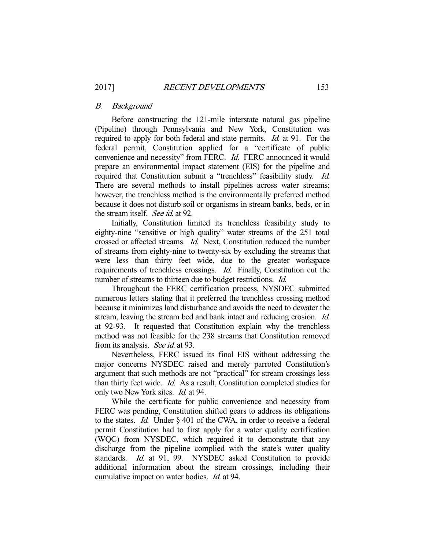#### B. Background

 Before constructing the 121-mile interstate natural gas pipeline (Pipeline) through Pennsylvania and New York, Constitution was required to apply for both federal and state permits. Id. at 91. For the federal permit, Constitution applied for a "certificate of public convenience and necessity" from FERC. Id. FERC announced it would prepare an environmental impact statement (EIS) for the pipeline and required that Constitution submit a "trenchless" feasibility study. Id. There are several methods to install pipelines across water streams; however, the trenchless method is the environmentally preferred method because it does not disturb soil or organisms in stream banks, beds, or in the stream itself. See id. at 92.

 Initially, Constitution limited its trenchless feasibility study to eighty-nine "sensitive or high quality" water streams of the 251 total crossed or affected streams. Id. Next, Constitution reduced the number of streams from eighty-nine to twenty-six by excluding the streams that were less than thirty feet wide, due to the greater workspace requirements of trenchless crossings. Id. Finally, Constitution cut the number of streams to thirteen due to budget restrictions. *Id.* 

 Throughout the FERC certification process, NYSDEC submitted numerous letters stating that it preferred the trenchless crossing method because it minimizes land disturbance and avoids the need to dewater the stream, leaving the stream bed and bank intact and reducing erosion. Id. at 92-93. It requested that Constitution explain why the trenchless method was not feasible for the 238 streams that Constitution removed from its analysis. See id. at 93.

 Nevertheless, FERC issued its final EIS without addressing the major concerns NYSDEC raised and merely parroted Constitution's argument that such methods are not "practical" for stream crossings less than thirty feet wide. Id. As a result, Constitution completed studies for only two New York sites. Id. at 94.

 While the certificate for public convenience and necessity from FERC was pending, Constitution shifted gears to address its obligations to the states. Id. Under § 401 of the CWA, in order to receive a federal permit Constitution had to first apply for a water quality certification (WQC) from NYSDEC, which required it to demonstrate that any discharge from the pipeline complied with the state's water quality standards. Id. at 91, 99. NYSDEC asked Constitution to provide additional information about the stream crossings, including their cumulative impact on water bodies. Id. at 94.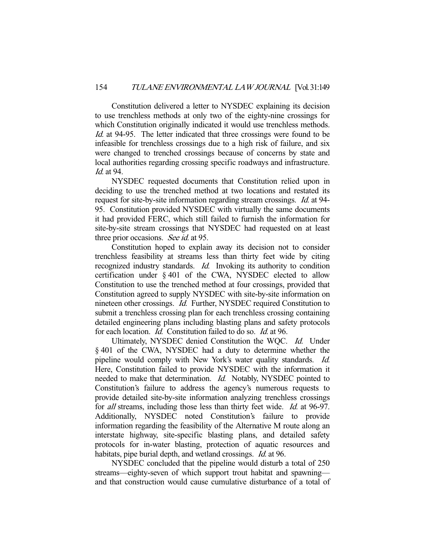Constitution delivered a letter to NYSDEC explaining its decision to use trenchless methods at only two of the eighty-nine crossings for which Constitution originally indicated it would use trenchless methods. Id. at 94-95. The letter indicated that three crossings were found to be infeasible for trenchless crossings due to a high risk of failure, and six were changed to trenched crossings because of concerns by state and local authorities regarding crossing specific roadways and infrastructure. Id. at 94.

 NYSDEC requested documents that Constitution relied upon in deciding to use the trenched method at two locations and restated its request for site-by-site information regarding stream crossings. Id. at 94- 95. Constitution provided NYSDEC with virtually the same documents it had provided FERC, which still failed to furnish the information for site-by-site stream crossings that NYSDEC had requested on at least three prior occasions. See id. at 95.

 Constitution hoped to explain away its decision not to consider trenchless feasibility at streams less than thirty feet wide by citing recognized industry standards. *Id.* Invoking its authority to condition certification under § 401 of the CWA, NYSDEC elected to allow Constitution to use the trenched method at four crossings, provided that Constitution agreed to supply NYSDEC with site-by-site information on nineteen other crossings. Id. Further, NYSDEC required Constitution to submit a trenchless crossing plan for each trenchless crossing containing detailed engineering plans including blasting plans and safety protocols for each location. Id. Constitution failed to do so. Id. at 96.

Ultimately, NYSDEC denied Constitution the WQC. Id. Under § 401 of the CWA, NYSDEC had a duty to determine whether the pipeline would comply with New York's water quality standards. Id. Here, Constitution failed to provide NYSDEC with the information it needed to make that determination. *Id.* Notably, NYSDEC pointed to Constitution's failure to address the agency's numerous requests to provide detailed site-by-site information analyzing trenchless crossings for all streams, including those less than thirty feet wide. Id. at 96-97. Additionally, NYSDEC noted Constitution's failure to provide information regarding the feasibility of the Alternative M route along an interstate highway, site-specific blasting plans, and detailed safety protocols for in-water blasting, protection of aquatic resources and habitats, pipe burial depth, and wetland crossings. *Id.* at 96.

 NYSDEC concluded that the pipeline would disturb a total of 250 streams—eighty-seven of which support trout habitat and spawning and that construction would cause cumulative disturbance of a total of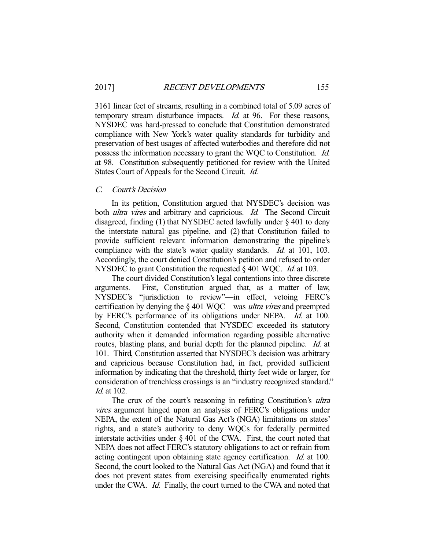3161 linear feet of streams, resulting in a combined total of 5.09 acres of temporary stream disturbance impacts. *Id.* at 96. For these reasons, NYSDEC was hard-pressed to conclude that Constitution demonstrated compliance with New York's water quality standards for turbidity and preservation of best usages of affected waterbodies and therefore did not possess the information necessary to grant the WQC to Constitution. Id. at 98. Constitution subsequently petitioned for review with the United States Court of Appeals for the Second Circuit. Id.

## C. Court's Decision

 In its petition, Constitution argued that NYSDEC's decision was both *ultra vires* and arbitrary and capricious. Id. The Second Circuit disagreed, finding (1) that NYSDEC acted lawfully under § 401 to deny the interstate natural gas pipeline, and (2) that Constitution failed to provide sufficient relevant information demonstrating the pipeline's compliance with the state's water quality standards. *Id.* at 101, 103. Accordingly, the court denied Constitution's petition and refused to order NYSDEC to grant Constitution the requested § 401 WOC. *Id.* at 103.

 The court divided Constitution's legal contentions into three discrete arguments. First, Constitution argued that, as a matter of law, NYSDEC's "jurisdiction to review"—in effect, vetoing FERC's certification by denying the § 401 WQC—was ultra vires and preempted by FERC's performance of its obligations under NEPA. *Id.* at 100. Second, Constitution contended that NYSDEC exceeded its statutory authority when it demanded information regarding possible alternative routes, blasting plans, and burial depth for the planned pipeline. Id. at 101. Third, Constitution asserted that NYSDEC's decision was arbitrary and capricious because Constitution had, in fact, provided sufficient information by indicating that the threshold, thirty feet wide or larger, for consideration of trenchless crossings is an "industry recognized standard." Id. at 102.

The crux of the court's reasoning in refuting Constitution's ultra vires argument hinged upon an analysis of FERC's obligations under NEPA, the extent of the Natural Gas Act's (NGA) limitations on states' rights, and a state's authority to deny WQCs for federally permitted interstate activities under § 401 of the CWA. First, the court noted that NEPA does not affect FERC's statutory obligations to act or refrain from acting contingent upon obtaining state agency certification. Id. at 100. Second, the court looked to the Natural Gas Act (NGA) and found that it does not prevent states from exercising specifically enumerated rights under the CWA. Id. Finally, the court turned to the CWA and noted that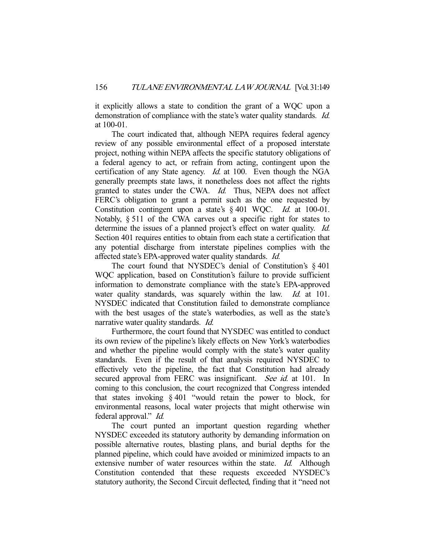it explicitly allows a state to condition the grant of a WQC upon a demonstration of compliance with the state's water quality standards. *Id.* at 100-01.

 The court indicated that, although NEPA requires federal agency review of any possible environmental effect of a proposed interstate project, nothing within NEPA affects the specific statutory obligations of a federal agency to act, or refrain from acting, contingent upon the certification of any State agency. *Id.* at 100. Even though the NGA generally preempts state laws, it nonetheless does not affect the rights granted to states under the CWA. Id. Thus, NEPA does not affect FERC's obligation to grant a permit such as the one requested by Constitution contingent upon a state's § 401 WQC. Id. at 100-01. Notably, § 511 of the CWA carves out a specific right for states to determine the issues of a planned project's effect on water quality. *Id.* Section 401 requires entities to obtain from each state a certification that any potential discharge from interstate pipelines complies with the affected state's EPA-approved water quality standards. Id.

The court found that NYSDEC's denial of Constitution's § 401 WQC application, based on Constitution's failure to provide sufficient information to demonstrate compliance with the state's EPA-approved water quality standards, was squarely within the law. Id. at 101. NYSDEC indicated that Constitution failed to demonstrate compliance with the best usages of the state's waterbodies, as well as the state's narrative water quality standards. Id.

Furthermore, the court found that NYSDEC was entitled to conduct its own review of the pipeline's likely effects on New York's waterbodies and whether the pipeline would comply with the state's water quality standards. Even if the result of that analysis required NYSDEC to effectively veto the pipeline, the fact that Constitution had already secured approval from FERC was insignificant. See id. at 101. In coming to this conclusion, the court recognized that Congress intended that states invoking § 401 "would retain the power to block, for environmental reasons, local water projects that might otherwise win federal approval." Id.

 The court punted an important question regarding whether NYSDEC exceeded its statutory authority by demanding information on possible alternative routes, blasting plans, and burial depths for the planned pipeline, which could have avoided or minimized impacts to an extensive number of water resources within the state. *Id.* Although Constitution contended that these requests exceeded NYSDEC's statutory authority, the Second Circuit deflected, finding that it "need not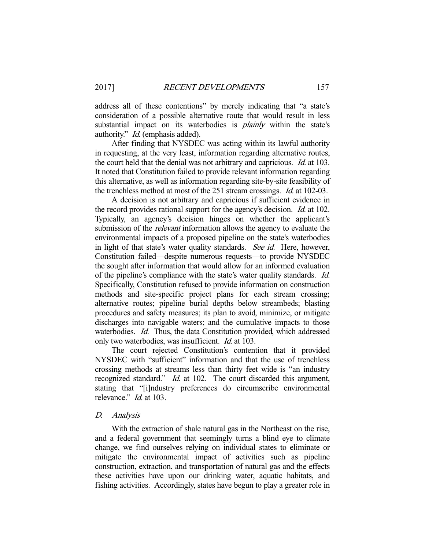address all of these contentions" by merely indicating that "a state's consideration of a possible alternative route that would result in less substantial impact on its waterbodies is *plainly* within the state's authority." Id. (emphasis added).

After finding that NYSDEC was acting within its lawful authority in requesting, at the very least, information regarding alternative routes, the court held that the denial was not arbitrary and capricious. *Id.* at 103. It noted that Constitution failed to provide relevant information regarding this alternative, as well as information regarding site-by-site feasibility of the trenchless method at most of the 251 stream crossings. Id. at 102-03.

 A decision is not arbitrary and capricious if sufficient evidence in the record provides rational support for the agency's decision. *Id.* at 102. Typically, an agency's decision hinges on whether the applicant's submission of the *relevant* information allows the agency to evaluate the environmental impacts of a proposed pipeline on the state's waterbodies in light of that state's water quality standards. See id. Here, however, Constitution failed—despite numerous requests—to provide NYSDEC the sought after information that would allow for an informed evaluation of the pipeline's compliance with the state's water quality standards. Id. Specifically, Constitution refused to provide information on construction methods and site-specific project plans for each stream crossing; alternative routes; pipeline burial depths below streambeds; blasting procedures and safety measures; its plan to avoid, minimize, or mitigate discharges into navigable waters; and the cumulative impacts to those waterbodies. *Id.* Thus, the data Constitution provided, which addressed only two waterbodies, was insufficient. Id. at 103.

 The court rejected Constitution's contention that it provided NYSDEC with "sufficient" information and that the use of trenchless crossing methods at streams less than thirty feet wide is "an industry recognized standard." *Id.* at 102. The court discarded this argument, stating that "[i]ndustry preferences do circumscribe environmental relevance." *Id.* at 103.

#### D. Analysis

 With the extraction of shale natural gas in the Northeast on the rise, and a federal government that seemingly turns a blind eye to climate change, we find ourselves relying on individual states to eliminate or mitigate the environmental impact of activities such as pipeline construction, extraction, and transportation of natural gas and the effects these activities have upon our drinking water, aquatic habitats, and fishing activities. Accordingly, states have begun to play a greater role in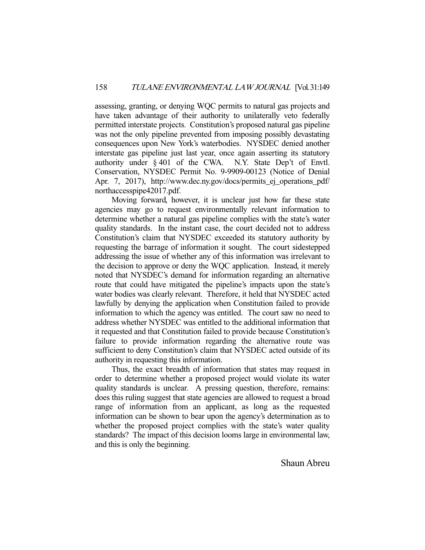assessing, granting, or denying WQC permits to natural gas projects and have taken advantage of their authority to unilaterally veto federally permitted interstate projects. Constitution's proposed natural gas pipeline was not the only pipeline prevented from imposing possibly devastating consequences upon New York's waterbodies. NYSDEC denied another interstate gas pipeline just last year, once again asserting its statutory authority under § 401 of the CWA. N.Y. State Dep't of Envtl. Conservation, NYSDEC Permit No. 9-9909-00123 (Notice of Denial Apr. 7, 2017), http://www.dec.ny.gov/docs/permits ej operations pdf/ northaccesspipe42017.pdf.

 Moving forward, however, it is unclear just how far these state agencies may go to request environmentally relevant information to determine whether a natural gas pipeline complies with the state's water quality standards. In the instant case, the court decided not to address Constitution's claim that NYSDEC exceeded its statutory authority by requesting the barrage of information it sought. The court sidestepped addressing the issue of whether any of this information was irrelevant to the decision to approve or deny the WQC application. Instead, it merely noted that NYSDEC's demand for information regarding an alternative route that could have mitigated the pipeline's impacts upon the state's water bodies was clearly relevant. Therefore, it held that NYSDEC acted lawfully by denying the application when Constitution failed to provide information to which the agency was entitled. The court saw no need to address whether NYSDEC was entitled to the additional information that it requested and that Constitution failed to provide because Constitution's failure to provide information regarding the alternative route was sufficient to deny Constitution's claim that NYSDEC acted outside of its authority in requesting this information.

 Thus, the exact breadth of information that states may request in order to determine whether a proposed project would violate its water quality standards is unclear. A pressing question, therefore, remains: does this ruling suggest that state agencies are allowed to request a broad range of information from an applicant, as long as the requested information can be shown to bear upon the agency's determination as to whether the proposed project complies with the state's water quality standards? The impact of this decision looms large in environmental law, and this is only the beginning.

Shaun Abreu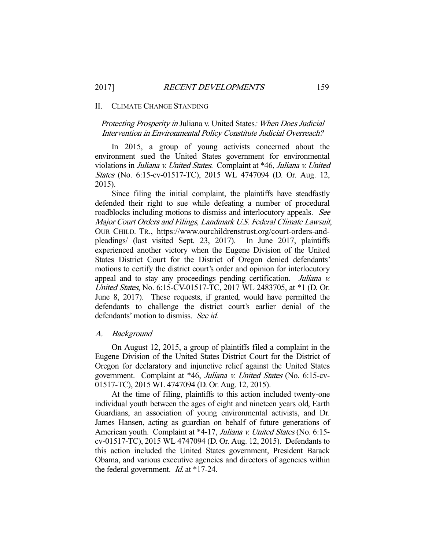#### II. CLIMATE CHANGE STANDING

Protecting Prosperity in Juliana v. United States: When Does Judicial Intervention in Environmental Policy Constitute Judicial Overreach?

 In 2015, a group of young activists concerned about the environment sued the United States government for environmental violations in Juliana v. United States. Complaint at \*46, Juliana v. United States (No. 6:15-cv-01517-TC), 2015 WL 4747094 (D. Or. Aug. 12, 2015).

 Since filing the initial complaint, the plaintiffs have steadfastly defended their right to sue while defeating a number of procedural roadblocks including motions to dismiss and interlocutory appeals. See Major Court Orders and Filings, Landmark U.S. Federal Climate Lawsuit, OUR CHILD. TR., https://www.ourchildrenstrust.org/court-orders-andpleadings/ (last visited Sept. 23, 2017). In June 2017, plaintiffs experienced another victory when the Eugene Division of the United States District Court for the District of Oregon denied defendants' motions to certify the district court's order and opinion for interlocutory appeal and to stay any proceedings pending certification. Juliana v. United States, No. 6:15-CV-01517-TC, 2017 WL 2483705, at \*1 (D. Or. June 8, 2017). These requests, if granted, would have permitted the defendants to challenge the district court's earlier denial of the defendants' motion to dismiss. See id.

## A. Background

 On August 12, 2015, a group of plaintiffs filed a complaint in the Eugene Division of the United States District Court for the District of Oregon for declaratory and injunctive relief against the United States government. Complaint at \*46, Juliana v. United States (No. 6:15-cv-01517-TC), 2015 WL 4747094 (D. Or. Aug. 12, 2015).

 At the time of filing, plaintiffs to this action included twenty-one individual youth between the ages of eight and nineteen years old, Earth Guardians, an association of young environmental activists, and Dr. James Hansen, acting as guardian on behalf of future generations of American youth. Complaint at \*4-17, Juliana v. United States (No. 6:15cv-01517-TC), 2015 WL 4747094 (D. Or. Aug. 12, 2015). Defendants to this action included the United States government, President Barack Obama, and various executive agencies and directors of agencies within the federal government. *Id.* at \*17-24.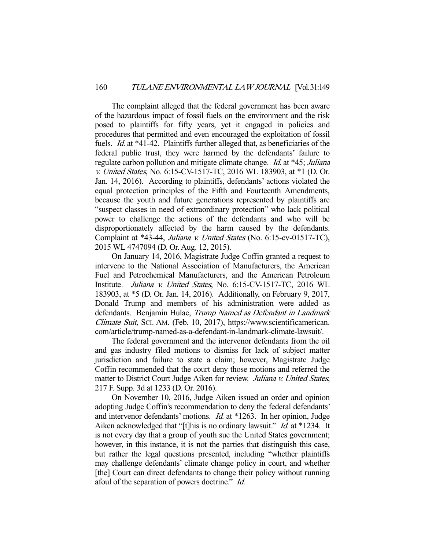The complaint alleged that the federal government has been aware of the hazardous impact of fossil fuels on the environment and the risk posed to plaintiffs for fifty years, yet it engaged in policies and procedures that permitted and even encouraged the exploitation of fossil fuels. Id. at \*41-42. Plaintiffs further alleged that, as beneficiaries of the federal public trust, they were harmed by the defendants' failure to regulate carbon pollution and mitigate climate change. *Id.* at \*45; *Juliana* v. United States, No. 6:15-CV-1517-TC, 2016 WL 183903, at \*1 (D. Or. Jan. 14, 2016). According to plaintiffs, defendants' actions violated the equal protection principles of the Fifth and Fourteenth Amendments, because the youth and future generations represented by plaintiffs are "suspect classes in need of extraordinary protection" who lack political power to challenge the actions of the defendants and who will be disproportionately affected by the harm caused by the defendants. Complaint at \*43-44, Juliana v. United States (No. 6:15-cv-01517-TC), 2015 WL 4747094 (D. Or. Aug. 12, 2015).

 On January 14, 2016, Magistrate Judge Coffin granted a request to intervene to the National Association of Manufacturers, the American Fuel and Petrochemical Manufacturers, and the American Petroleum Institute. Juliana v. United States, No. 6:15-CV-1517-TC, 2016 WL 183903, at \*5 (D. Or. Jan. 14, 2016). Additionally, on February 9, 2017, Donald Trump and members of his administration were added as defendants. Benjamin Hulac, Trump Named as Defendant in Landmark Climate Suit, SCI. AM. (Feb. 10, 2017), https://www.scientificamerican. com/article/trump-named-as-a-defendant-in-landmark-climate-lawsuit/.

 The federal government and the intervenor defendants from the oil and gas industry filed motions to dismiss for lack of subject matter jurisdiction and failure to state a claim; however, Magistrate Judge Coffin recommended that the court deny those motions and referred the matter to District Court Judge Aiken for review. Juliana v. United States, 217 F. Supp. 3d at 1233 (D. Or. 2016).

 On November 10, 2016, Judge Aiken issued an order and opinion adopting Judge Coffin's recommendation to deny the federal defendants' and intervenor defendants' motions. Id. at \*1263. In her opinion, Judge Aiken acknowledged that "[t]his is no ordinary lawsuit." *Id.* at \*1234. It is not every day that a group of youth sue the United States government; however, in this instance, it is not the parties that distinguish this case, but rather the legal questions presented, including "whether plaintiffs may challenge defendants' climate change policy in court, and whether [the] Court can direct defendants to change their policy without running afoul of the separation of powers doctrine." Id.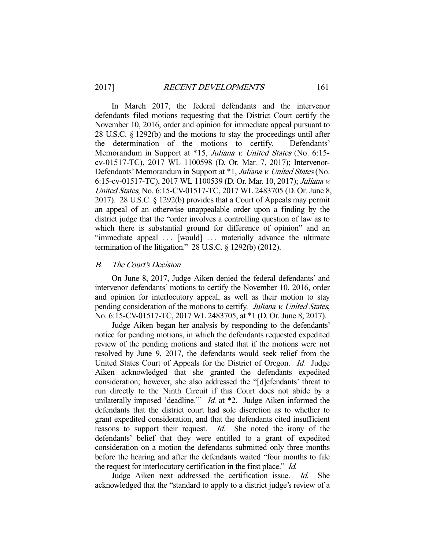In March 2017, the federal defendants and the intervenor defendants filed motions requesting that the District Court certify the November 10, 2016, order and opinion for immediate appeal pursuant to 28 U.S.C. § 1292(b) and the motions to stay the proceedings until after the determination of the motions to certify. Defendants' Memorandum in Support at \*15, Juliana v. United States (No. 6:15cv-01517-TC), 2017 WL 1100598 (D. Or. Mar. 7, 2017); Intervenor-Defendants' Memorandum in Support at \*1, Juliana v. United States (No. 6:15-cv-01517-TC), 2017 WL 1100539 (D. Or. Mar. 10, 2017); Juliana v. United States, No. 6:15-CV-01517-TC, 2017 WL 2483705 (D. Or. June 8, 2017). 28 U.S.C. § 1292(b) provides that a Court of Appeals may permit an appeal of an otherwise unappealable order upon a finding by the district judge that the "order involves a controlling question of law as to which there is substantial ground for difference of opinion" and an "immediate appeal ... [would] ... materially advance the ultimate termination of the litigation."  $28$  U.S.C.  $\S$  1292(b) (2012).

### B. The Court's Decision

 On June 8, 2017, Judge Aiken denied the federal defendants' and intervenor defendants' motions to certify the November 10, 2016, order and opinion for interlocutory appeal, as well as their motion to stay pending consideration of the motions to certify. Juliana v. United States, No. 6:15-CV-01517-TC, 2017 WL 2483705, at \*1 (D. Or. June 8, 2017).

 Judge Aiken began her analysis by responding to the defendants' notice for pending motions, in which the defendants requested expedited review of the pending motions and stated that if the motions were not resolved by June 9, 2017, the defendants would seek relief from the United States Court of Appeals for the District of Oregon. Id. Judge Aiken acknowledged that she granted the defendants expedited consideration; however, she also addressed the "[d]efendants' threat to run directly to the Ninth Circuit if this Court does not abide by a unilaterally imposed 'deadline.'"  $Id$ . at  $*2$ . Judge Aiken informed the defendants that the district court had sole discretion as to whether to grant expedited consideration, and that the defendants cited insufficient reasons to support their request. *Id.* She noted the irony of the defendants' belief that they were entitled to a grant of expedited consideration on a motion the defendants submitted only three months before the hearing and after the defendants waited "four months to file the request for interlocutory certification in the first place." Id.

 Judge Aiken next addressed the certification issue. Id. She acknowledged that the "standard to apply to a district judge's review of a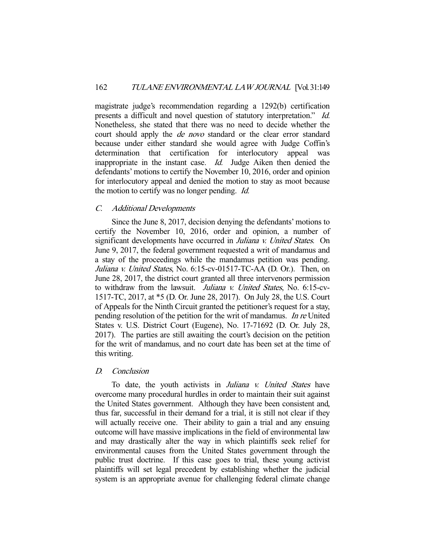magistrate judge's recommendation regarding a 1292(b) certification presents a difficult and novel question of statutory interpretation." Id. Nonetheless, she stated that there was no need to decide whether the court should apply the de novo standard or the clear error standard because under either standard she would agree with Judge Coffin's determination that certification for interlocutory appeal was inappropriate in the instant case. Id. Judge Aiken then denied the defendants' motions to certify the November 10, 2016, order and opinion for interlocutory appeal and denied the motion to stay as moot because the motion to certify was no longer pending. Id.

# C. Additional Developments

 Since the June 8, 2017, decision denying the defendants' motions to certify the November 10, 2016, order and opinion, a number of significant developments have occurred in Juliana v. United States. On June 9, 2017, the federal government requested a writ of mandamus and a stay of the proceedings while the mandamus petition was pending. Juliana v. United States, No. 6:15-cv-01517-TC-AA (D. Or.). Then, on June 28, 2017, the district court granted all three intervenors permission to withdraw from the lawsuit. Juliana v. United States, No. 6:15-cv-1517-TC, 2017, at \*5 (D. Or. June 28, 2017). On July 28, the U.S. Court of Appeals for the Ninth Circuit granted the petitioner's request for a stay, pending resolution of the petition for the writ of mandamus. In re United States v. U.S. District Court (Eugene), No. 17-71692 (D. Or. July 28, 2017). The parties are still awaiting the court's decision on the petition for the writ of mandamus, and no court date has been set at the time of this writing.

# D. Conclusion

To date, the youth activists in *Juliana v. United States* have overcome many procedural hurdles in order to maintain their suit against the United States government. Although they have been consistent and, thus far, successful in their demand for a trial, it is still not clear if they will actually receive one. Their ability to gain a trial and any ensuing outcome will have massive implications in the field of environmental law and may drastically alter the way in which plaintiffs seek relief for environmental causes from the United States government through the public trust doctrine. If this case goes to trial, these young activist plaintiffs will set legal precedent by establishing whether the judicial system is an appropriate avenue for challenging federal climate change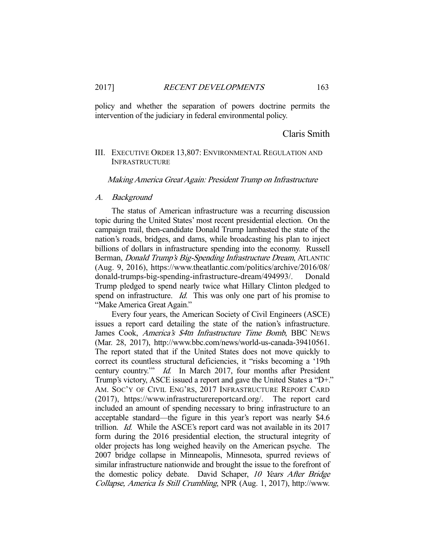policy and whether the separation of powers doctrine permits the intervention of the judiciary in federal environmental policy.

Claris Smith

# III. EXECUTIVE ORDER 13,807: ENVIRONMENTAL REGULATION AND INFRASTRUCTURE

#### Making America Great Again: President Trump on Infrastructure

## A. Background

 The status of American infrastructure was a recurring discussion topic during the United States' most recent presidential election. On the campaign trail, then-candidate Donald Trump lambasted the state of the nation's roads, bridges, and dams, while broadcasting his plan to inject billions of dollars in infrastructure spending into the economy. Russell Berman, *Donald Trump's Big-Spending Infrastructure Dream*, ATLANTIC (Aug. 9, 2016), https://www.theatlantic.com/politics/archive/2016/08/ donald-trumps-big-spending-infrastructure-dream/494993/. Donald Trump pledged to spend nearly twice what Hillary Clinton pledged to spend on infrastructure. Id. This was only one part of his promise to "Make America Great Again."

 Every four years, the American Society of Civil Engineers (ASCE) issues a report card detailing the state of the nation's infrastructure. James Cook, America's \$4tn Infrastructure Time Bomb, BBC NEWS (Mar. 28, 2017), http://www.bbc.com/news/world-us-canada-39410561. The report stated that if the United States does not move quickly to correct its countless structural deficiencies, it "risks becoming a '19th century country.'" Id. In March 2017, four months after President Trump's victory, ASCE issued a report and gave the United States a "D+." AM. SOC'Y OF CIVIL ENG'RS, 2017 INFRASTRUCTURE REPORT CARD (2017), https://www.infrastructurereportcard.org/. The report card included an amount of spending necessary to bring infrastructure to an acceptable standard—the figure in this year's report was nearly \$4.6 trillion. Id. While the ASCE's report card was not available in its 2017 form during the 2016 presidential election, the structural integrity of older projects has long weighed heavily on the American psyche. The 2007 bridge collapse in Minneapolis, Minnesota, spurred reviews of similar infrastructure nationwide and brought the issue to the forefront of the domestic policy debate. David Schaper, 10 Years After Bridge Collapse, America Is Still Crumbling, NPR (Aug. 1, 2017), http://www.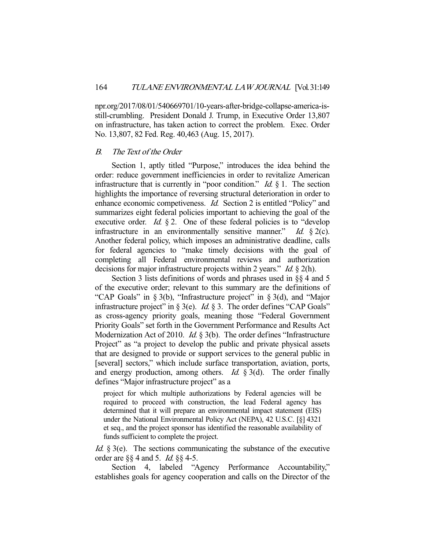npr.org/2017/08/01/540669701/10-years-after-bridge-collapse-america-isstill-crumbling. President Donald J. Trump, in Executive Order 13,807 on infrastructure, has taken action to correct the problem. Exec. Order No. 13,807, 82 Fed. Reg. 40,463 (Aug. 15, 2017).

## B. The Text of the Order

 Section 1, aptly titled "Purpose," introduces the idea behind the order: reduce government inefficiencies in order to revitalize American infrastructure that is currently in "poor condition." *Id.*  $\S$  1. The section highlights the importance of reversing structural deterioration in order to enhance economic competiveness. Id. Section 2 is entitled "Policy" and summarizes eight federal policies important to achieving the goal of the executive order. *Id.*  $\S 2$ . One of these federal policies is to "develop" infrastructure in an environmentally sensitive manner." Id.  $\S$  2(c). Another federal policy, which imposes an administrative deadline, calls for federal agencies to "make timely decisions with the goal of completing all Federal environmental reviews and authorization decisions for major infrastructure projects within 2 years." Id. § 2(h).

 Section 3 lists definitions of words and phrases used in §§ 4 and 5 of the executive order; relevant to this summary are the definitions of "CAP Goals" in § 3(b), "Infrastructure project" in § 3(d), and "Major infrastructure project" in § 3(e). *Id.* § 3. The order defines "CAP Goals" as cross-agency priority goals, meaning those "Federal Government Priority Goals" set forth in the Government Performance and Results Act Modernization Act of 2010. *Id.* § 3(b). The order defines "Infrastructure Project" as "a project to develop the public and private physical assets that are designed to provide or support services to the general public in [several] sectors," which include surface transportation, aviation, ports, and energy production, among others. *Id.*  $\S 3(d)$ . The order finally defines "Major infrastructure project" as a

project for which multiple authorizations by Federal agencies will be required to proceed with construction, the lead Federal agency has determined that it will prepare an environmental impact statement (EIS) under the National Environmental Policy Act (NEPA), 42 U.S.C. [§] 4321 et seq., and the project sponsor has identified the reasonable availability of funds sufficient to complete the project.

Id. § 3(e). The sections communicating the substance of the executive order are  $\S$ § 4 and 5. *Id.* §§ 4-5.

 Section 4, labeled "Agency Performance Accountability," establishes goals for agency cooperation and calls on the Director of the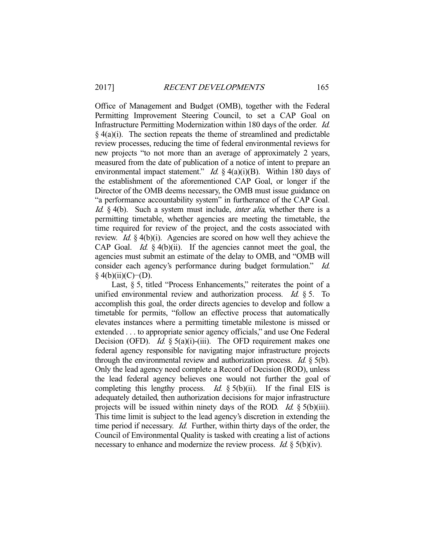Office of Management and Budget (OMB), together with the Federal Permitting Improvement Steering Council, to set a CAP Goal on Infrastructure Permitting Modernization within 180 days of the order. Id.  $§$  4(a)(i). The section repeats the theme of streamlined and predictable review processes, reducing the time of federal environmental reviews for new projects "to not more than an average of approximately 2 years, measured from the date of publication of a notice of intent to prepare an environmental impact statement." *Id.* § 4(a)(i)(B). Within 180 days of the establishment of the aforementioned CAP Goal, or longer if the Director of the OMB deems necessary, the OMB must issue guidance on "a performance accountability system" in furtherance of the CAP Goal. Id.  $\&$  4(b). Such a system must include, *inter alia*, whether there is a permitting timetable, whether agencies are meeting the timetable, the time required for review of the project, and the costs associated with review. Id. § 4(b)(i). Agencies are scored on how well they achieve the CAP Goal. *Id.*  $\S$  4(b)(ii). If the agencies cannot meet the goal, the agencies must submit an estimate of the delay to OMB, and "OMB will consider each agency's performance during budget formulation." Id. § 4(b)(ii)(C)−(D).

Last, § 5, titled "Process Enhancements," reiterates the point of a unified environmental review and authorization process. *Id.*  $\S$  5. To accomplish this goal, the order directs agencies to develop and follow a timetable for permits, "follow an effective process that automatically elevates instances where a permitting timetable milestone is missed or extended . . . to appropriate senior agency officials," and use One Federal Decision (OFD). *Id.* § 5(a)(i)-(iii). The OFD requirement makes one federal agency responsible for navigating major infrastructure projects through the environmental review and authorization process. *Id.*  $\frac{1}{2}$  5(b). Only the lead agency need complete a Record of Decision (ROD), unless the lead federal agency believes one would not further the goal of completing this lengthy process. Id.  $\S$  5(b)(ii). If the final EIS is adequately detailed, then authorization decisions for major infrastructure projects will be issued within ninety days of the ROD. *Id.*  $\S$  5(b)(iii). This time limit is subject to the lead agency's discretion in extending the time period if necessary. *Id.* Further, within thirty days of the order, the Council of Environmental Quality is tasked with creating a list of actions necessary to enhance and modernize the review process. *Id.* § 5(b)(iv).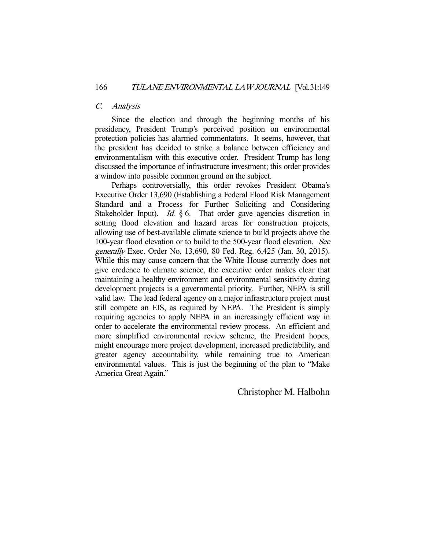# C. Analysis

 Since the election and through the beginning months of his presidency, President Trump's perceived position on environmental protection policies has alarmed commentators. It seems, however, that the president has decided to strike a balance between efficiency and environmentalism with this executive order. President Trump has long discussed the importance of infrastructure investment; this order provides a window into possible common ground on the subject.

 Perhaps controversially, this order revokes President Obama's Executive Order 13,690 (Establishing a Federal Flood Risk Management Standard and a Process for Further Soliciting and Considering Stakeholder Input). *Id.*  $\S 6$ . That order gave agencies discretion in setting flood elevation and hazard areas for construction projects, allowing use of best-available climate science to build projects above the 100-year flood elevation or to build to the 500-year flood elevation. See generally Exec. Order No. 13,690, 80 Fed. Reg. 6,425 (Jan. 30, 2015). While this may cause concern that the White House currently does not give credence to climate science, the executive order makes clear that maintaining a healthy environment and environmental sensitivity during development projects is a governmental priority. Further, NEPA is still valid law. The lead federal agency on a major infrastructure project must still compete an EIS, as required by NEPA. The President is simply requiring agencies to apply NEPA in an increasingly efficient way in order to accelerate the environmental review process. An efficient and more simplified environmental review scheme, the President hopes, might encourage more project development, increased predictability, and greater agency accountability, while remaining true to American environmental values. This is just the beginning of the plan to "Make America Great Again."

Christopher M. Halbohn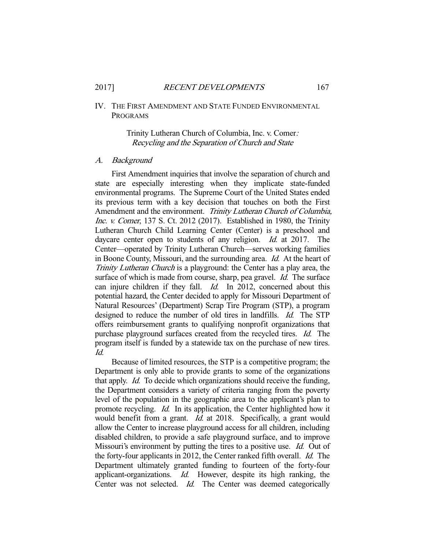# IV. THE FIRST AMENDMENT AND STATE FUNDED ENVIRONMENTAL PROGRAMS

## Trinity Lutheran Church of Columbia, Inc. v. Comer: Recycling and the Separation of Church and State

#### A. Background

 First Amendment inquiries that involve the separation of church and state are especially interesting when they implicate state-funded environmental programs. The Supreme Court of the United States ended its previous term with a key decision that touches on both the First Amendment and the environment. Trinity Lutheran Church of Columbia, Inc. v. Comer, 137 S. Ct. 2012 (2017). Established in 1980, the Trinity Lutheran Church Child Learning Center (Center) is a preschool and daycare center open to students of any religion. *Id.* at 2017. The Center—operated by Trinity Lutheran Church—serves working families in Boone County, Missouri, and the surrounding area. Id. At the heart of Trinity Lutheran Church is a playground: the Center has a play area, the surface of which is made from course, sharp, pea gravel. *Id.* The surface can injure children if they fall. *Id.* In 2012, concerned about this potential hazard, the Center decided to apply for Missouri Department of Natural Resources' (Department) Scrap Tire Program (STP), a program designed to reduce the number of old tires in landfills. *Id.* The STP offers reimbursement grants to qualifying nonprofit organizations that purchase playground surfaces created from the recycled tires. Id. The program itself is funded by a statewide tax on the purchase of new tires. Id.

 Because of limited resources, the STP is a competitive program; the Department is only able to provide grants to some of the organizations that apply. Id. To decide which organizations should receive the funding, the Department considers a variety of criteria ranging from the poverty level of the population in the geographic area to the applicant's plan to promote recycling. Id. In its application, the Center highlighted how it would benefit from a grant. *Id.* at 2018. Specifically, a grant would allow the Center to increase playground access for all children, including disabled children, to provide a safe playground surface, and to improve Missouri's environment by putting the tires to a positive use. Id. Out of the forty-four applicants in 2012, the Center ranked fifth overall. Id. The Department ultimately granted funding to fourteen of the forty-four applicant-organizations. Id. However, despite its high ranking, the Center was not selected. *Id.* The Center was deemed categorically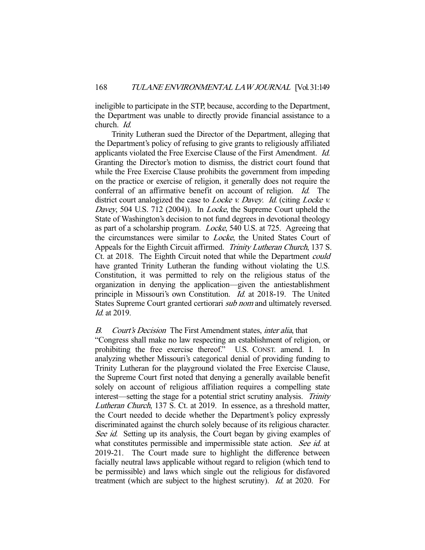ineligible to participate in the STP, because, according to the Department, the Department was unable to directly provide financial assistance to a church. Id.

 Trinity Lutheran sued the Director of the Department, alleging that the Department's policy of refusing to give grants to religiously affiliated applicants violated the Free Exercise Clause of the First Amendment. Id. Granting the Director's motion to dismiss, the district court found that while the Free Exercise Clause prohibits the government from impeding on the practice or exercise of religion, it generally does not require the conferral of an affirmative benefit on account of religion. Id. The district court analogized the case to *Locke v. Davey. Id.* (citing *Locke v.* Davey, 504 U.S. 712 (2004)). In *Locke*, the Supreme Court upheld the State of Washington's decision to not fund degrees in devotional theology as part of a scholarship program. Locke, 540 U.S. at 725. Agreeing that the circumstances were similar to Locke, the United States Court of Appeals for the Eighth Circuit affirmed. Trinity Lutheran Church, 137 S. Ct. at 2018. The Eighth Circuit noted that while the Department could have granted Trinity Lutheran the funding without violating the U.S. Constitution, it was permitted to rely on the religious status of the organization in denying the application—given the antiestablishment principle in Missouri's own Constitution. Id. at 2018-19. The United States Supreme Court granted certiorari sub nom and ultimately reversed. Id. at 2019.

# B. Court's Decision The First Amendment states, *inter alia*, that

"Congress shall make no law respecting an establishment of religion, or prohibiting the free exercise thereof." U.S. CONST. amend. I. In analyzing whether Missouri's categorical denial of providing funding to Trinity Lutheran for the playground violated the Free Exercise Clause, the Supreme Court first noted that denying a generally available benefit solely on account of religious affiliation requires a compelling state interest—setting the stage for a potential strict scrutiny analysis. Trinity Lutheran Church, 137 S. Ct. at 2019. In essence, as a threshold matter, the Court needed to decide whether the Department's policy expressly discriminated against the church solely because of its religious character. See id. Setting up its analysis, the Court began by giving examples of what constitutes permissible and impermissible state action. See id. at 2019-21. The Court made sure to highlight the difference between facially neutral laws applicable without regard to religion (which tend to be permissible) and laws which single out the religious for disfavored treatment (which are subject to the highest scrutiny). Id. at 2020. For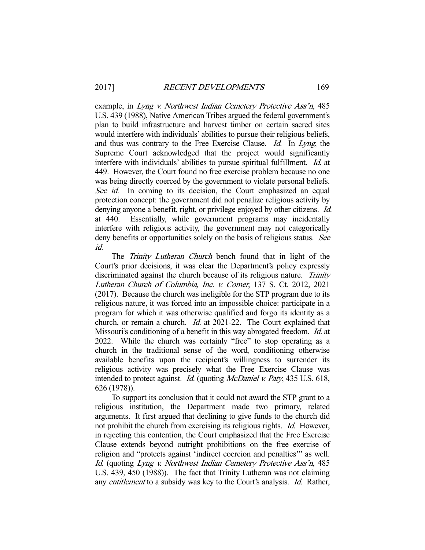example, in Lyng v. Northwest Indian Cemetery Protective Ass'n, 485 U.S. 439 (1988), Native American Tribes argued the federal government's plan to build infrastructure and harvest timber on certain sacred sites would interfere with individuals' abilities to pursue their religious beliefs, and thus was contrary to the Free Exercise Clause. Id. In Lyng, the Supreme Court acknowledged that the project would significantly interfere with individuals' abilities to pursue spiritual fulfillment. Id. at 449. However, the Court found no free exercise problem because no one was being directly coerced by the government to violate personal beliefs. See id. In coming to its decision, the Court emphasized an equal protection concept: the government did not penalize religious activity by denying anyone a benefit, right, or privilege enjoyed by other citizens. *Id.* at 440. Essentially, while government programs may incidentally interfere with religious activity, the government may not categorically deny benefits or opportunities solely on the basis of religious status. See id.

The Trinity Lutheran Church bench found that in light of the Court's prior decisions, it was clear the Department's policy expressly discriminated against the church because of its religious nature. Trinity Lutheran Church of Columbia, Inc. v. Comer, 137 S. Ct. 2012, 2021 (2017). Because the church was ineligible for the STP program due to its religious nature, it was forced into an impossible choice: participate in a program for which it was otherwise qualified and forgo its identity as a church, or remain a church. Id. at 2021-22. The Court explained that Missouri's conditioning of a benefit in this way abrogated freedom. *Id.* at 2022. While the church was certainly "free" to stop operating as a church in the traditional sense of the word, conditioning otherwise available benefits upon the recipient's willingness to surrender its religious activity was precisely what the Free Exercise Clause was intended to protect against. *Id.* (quoting *McDaniel v. Paty*, 435 U.S. 618, 626 (1978)).

 To support its conclusion that it could not award the STP grant to a religious institution, the Department made two primary, related arguments. It first argued that declining to give funds to the church did not prohibit the church from exercising its religious rights. *Id.* However, in rejecting this contention, the Court emphasized that the Free Exercise Clause extends beyond outright prohibitions on the free exercise of religion and "protects against 'indirect coercion and penalties'" as well. Id. (quoting Lyng v. Northwest Indian Cemetery Protective Ass'n, 485 U.S. 439, 450 (1988)). The fact that Trinity Lutheran was not claiming any entitlement to a subsidy was key to the Court's analysis. Id. Rather,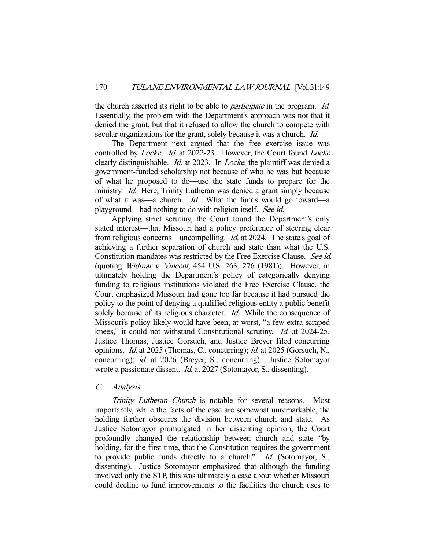the church asserted its right to be able to *participate* in the program. *Id.* Essentially, the problem with the Department's approach was not that it denied the grant, but that it refused to allow the church to compete with secular organizations for the grant, solely because it was a church. *Id.* 

 The Department next argued that the free exercise issue was controlled by *Locke. Id.* at 2022-23. However, the Court found *Locke* clearly distinguishable. Id. at 2023. In Locke, the plaintiff was denied a government-funded scholarship not because of who he was but because of what he proposed to do—use the state funds to prepare for the ministry. *Id.* Here, Trinity Lutheran was denied a grant simply because of what it was—a church. Id. What the funds would go toward—a playground—had nothing to do with religion itself. See id.

 Applying strict scrutiny, the Court found the Department's only stated interest—that Missouri had a policy preference of steering clear from religious concerns—uncompelling. Id. at 2024. The state's goal of achieving a further separation of church and state than what the U.S. Constitution mandates was restricted by the Free Exercise Clause. See id. (quoting Widmar v. Vincent, 454 U.S. 263, 276 (1981)). However, in ultimately holding the Department's policy of categorically denying funding to religious institutions violated the Free Exercise Clause, the Court emphasized Missouri had gone too far because it had pursued the policy to the point of denying a qualified religious entity a public benefit solely because of its religious character. *Id.* While the consequence of Missouri's policy likely would have been, at worst, "a few extra scraped knees," it could not withstand Constitutional scrutiny. *Id.* at 2024-25. Justice Thomas, Justice Gorsuch, and Justice Breyer filed concurring opinions. Id. at 2025 (Thomas, C., concurring); id. at 2025 (Gorsuch, N., concurring); id. at 2026 (Breyer, S., concurring). Justice Sotomayor wrote a passionate dissent. *Id.* at 2027 (Sotomayor, S., dissenting).

#### C. Analysis

Trinity Lutheran Church is notable for several reasons. Most importantly, while the facts of the case are somewhat unremarkable, the holding further obscures the division between church and state. As Justice Sotomayor promulgated in her dissenting opinion, the Court profoundly changed the relationship between church and state "by holding, for the first time, that the Constitution requires the government to provide public funds directly to a church." Id. (Sotomayor, S., dissenting). Justice Sotomayor emphasized that although the funding involved only the STP, this was ultimately a case about whether Missouri could decline to fund improvements to the facilities the church uses to